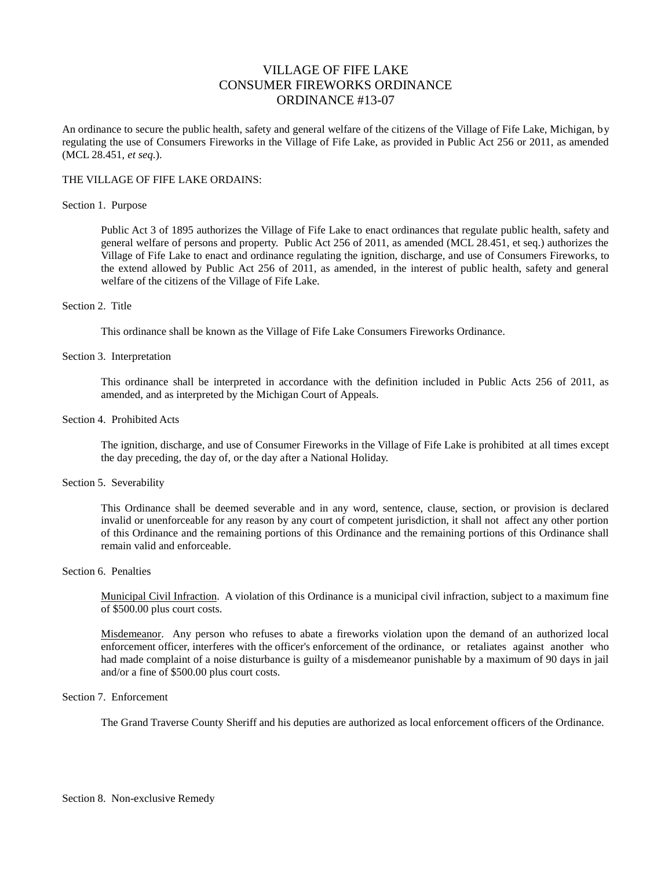# VILLAGE OF FIFE LAKE CONSUMER FIREWORKS ORDINANCE ORDINANCE #13-07

An ordinance to secure the public health, safety and general welfare of the citizens of the Village of Fife Lake, Michigan, by regulating the use of Consumers Fireworks in the Village of Fife Lake, as provided in Public Act 256 or 2011, as amended (MCL 28.451, *et seq.*).

## THE VILLAGE OF FIFE LAKE ORDAINS:

### Section 1. Purpose

Public Act 3 of 1895 authorizes the Village of Fife Lake to enact ordinances that regulate public health, safety and general welfare of persons and property. Public Act 256 of 2011, as amended (MCL 28.451, et seq.) authorizes the Village of Fife Lake to enact and ordinance regulating the ignition, discharge, and use of Consumers Fireworks, to the extend allowed by Public Act 256 of 2011, as amended, in the interest of public health, safety and general welfare of the citizens of the Village of Fife Lake.

# Section 2. Title

This ordinance shall be known as the Village of Fife Lake Consumers Fireworks Ordinance.

## Section 3. Interpretation

This ordinance shall be interpreted in accordance with the definition included in Public Acts 256 of 2011, as amended, and as interpreted by the Michigan Court of Appeals.

## Section 4. Prohibited Acts

The ignition, discharge, and use of Consumer Fireworks in the Village of Fife Lake is prohibited at all times except the day preceding, the day of, or the day after a National Holiday.

#### Section 5. Severability

This Ordinance shall be deemed severable and in any word, sentence, clause, section, or provision is declared invalid or unenforceable for any reason by any court of competent jurisdiction, it shall not affect any other portion of this Ordinance and the remaining portions of this Ordinance and the remaining portions of this Ordinance shall remain valid and enforceable.

#### Section 6. Penalties

Municipal Civil Infraction. A violation of this Ordinance is a municipal civil infraction, subject to a maximum fine of \$500.00 plus court costs.

Misdemeanor. Any person who refuses to abate a fireworks violation upon the demand of an authorized local enforcement officer, interferes with the officer's enforcement of the ordinance, or retaliates against another who had made complaint of a noise disturbance is guilty of a misdemeanor punishable by a maximum of 90 days in jail and/or a fine of \$500.00 plus court costs.

### Section 7. Enforcement

The Grand Traverse County Sheriff and his deputies are authorized as local enforcement officers of the Ordinance.